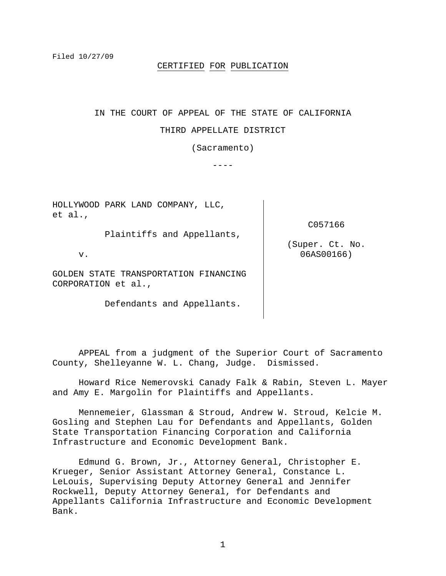### CERTIFIED FOR PUBLICATION

# IN THE COURT OF APPEAL OF THE STATE OF CALIFORNIA

#### THIRD APPELLATE DISTRICT

(Sacramento)

 $---$ 

HOLLYWOOD PARK LAND COMPANY, LLC, et al.,

Plaintiffs and Appellants,

C057166

(Super. Ct. No. 06AS00166)

v.

GOLDEN STATE TRANSPORTATION FINANCING CORPORATION et al.,

Defendants and Appellants.

 APPEAL from a judgment of the Superior Court of Sacramento County, Shelleyanne W. L. Chang, Judge. Dismissed.

 Howard Rice Nemerovski Canady Falk & Rabin, Steven L. Mayer and Amy E. Margolin for Plaintiffs and Appellants.

 Mennemeier, Glassman & Stroud, Andrew W. Stroud, Kelcie M. Gosling and Stephen Lau for Defendants and Appellants, Golden State Transportation Financing Corporation and California Infrastructure and Economic Development Bank.

 Edmund G. Brown, Jr., Attorney General, Christopher E. Krueger, Senior Assistant Attorney General, Constance L. LeLouis, Supervising Deputy Attorney General and Jennifer Rockwell, Deputy Attorney General, for Defendants and Appellants California Infrastructure and Economic Development Bank.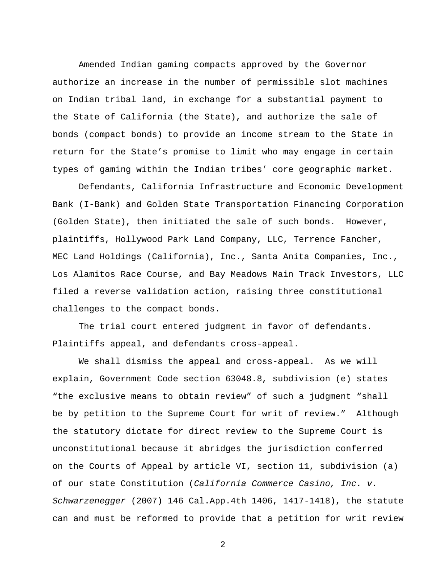Amended Indian gaming compacts approved by the Governor authorize an increase in the number of permissible slot machines on Indian tribal land, in exchange for a substantial payment to the State of California (the State), and authorize the sale of bonds (compact bonds) to provide an income stream to the State in return for the State's promise to limit who may engage in certain types of gaming within the Indian tribes' core geographic market.

Defendants, California Infrastructure and Economic Development Bank (I-Bank) and Golden State Transportation Financing Corporation (Golden State), then initiated the sale of such bonds. However, plaintiffs, Hollywood Park Land Company, LLC, Terrence Fancher, MEC Land Holdings (California), Inc., Santa Anita Companies, Inc., Los Alamitos Race Course, and Bay Meadows Main Track Investors, LLC filed a reverse validation action, raising three constitutional challenges to the compact bonds.

 The trial court entered judgment in favor of defendants. Plaintiffs appeal, and defendants cross-appeal.

 We shall dismiss the appeal and cross-appeal. As we will explain, Government Code section 63048.8, subdivision (e) states "the exclusive means to obtain review" of such a judgment "shall be by petition to the Supreme Court for writ of review." Although the statutory dictate for direct review to the Supreme Court is unconstitutional because it abridges the jurisdiction conferred on the Courts of Appeal by article VI, section 11, subdivision (a) of our state Constitution (*California Commerce Casino, Inc. v. Schwarzenegger* (2007) 146 Cal.App.4th 1406, 1417-1418), the statute can and must be reformed to provide that a petition for writ review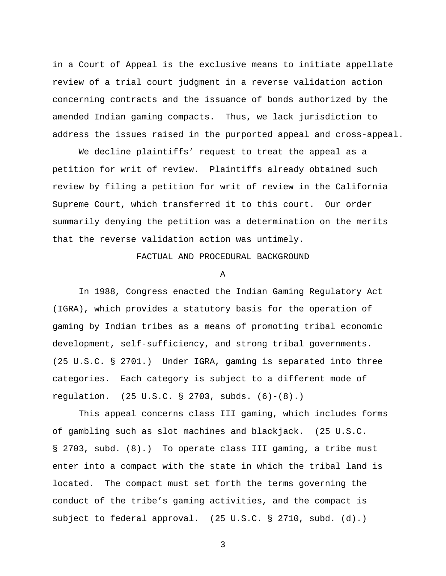in a Court of Appeal is the exclusive means to initiate appellate review of a trial court judgment in a reverse validation action concerning contracts and the issuance of bonds authorized by the amended Indian gaming compacts. Thus, we lack jurisdiction to address the issues raised in the purported appeal and cross-appeal.

 We decline plaintiffs' request to treat the appeal as a petition for writ of review. Plaintiffs already obtained such review by filing a petition for writ of review in the California Supreme Court, which transferred it to this court. Our order summarily denying the petition was a determination on the merits that the reverse validation action was untimely.

FACTUAL AND PROCEDURAL BACKGROUND

A

 In 1988, Congress enacted the Indian Gaming Regulatory Act (IGRA), which provides a statutory basis for the operation of gaming by Indian tribes as a means of promoting tribal economic development, self-sufficiency, and strong tribal governments. (25 U.S.C. § 2701.) Under IGRA, gaming is separated into three categories. Each category is subject to a different mode of regulation. (25 U.S.C. § 2703, subds. (6)-(8).)

 This appeal concerns class III gaming, which includes forms of gambling such as slot machines and blackjack. (25 U.S.C. § 2703, subd. (8).) To operate class III gaming, a tribe must enter into a compact with the state in which the tribal land is located. The compact must set forth the terms governing the conduct of the tribe's gaming activities, and the compact is subject to federal approval. (25 U.S.C. § 2710, subd. (d).)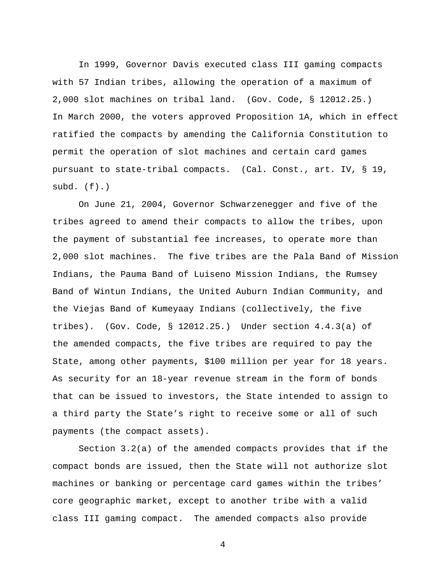In 1999, Governor Davis executed class III gaming compacts with 57 Indian tribes, allowing the operation of a maximum of 2,000 slot machines on tribal land. (Gov. Code, § 12012.25.) In March 2000, the voters approved Proposition 1A, which in effect ratified the compacts by amending the California Constitution to permit the operation of slot machines and certain card games pursuant to state-tribal compacts. (Cal. Const., art. IV, § 19, subd.  $(f)$ .)

 On June 21, 2004, Governor Schwarzenegger and five of the tribes agreed to amend their compacts to allow the tribes, upon the payment of substantial fee increases, to operate more than 2,000 slot machines. The five tribes are the Pala Band of Mission Indians, the Pauma Band of Luiseno Mission Indians, the Rumsey Band of Wintun Indians, the United Auburn Indian Community, and the Viejas Band of Kumeyaay Indians (collectively, the five tribes). (Gov. Code, § 12012.25.) Under section 4.4.3(a) of the amended compacts, the five tribes are required to pay the State, among other payments, \$100 million per year for 18 years. As security for an 18-year revenue stream in the form of bonds that can be issued to investors, the State intended to assign to a third party the State's right to receive some or all of such payments (the compact assets).

 Section 3.2(a) of the amended compacts provides that if the compact bonds are issued, then the State will not authorize slot machines or banking or percentage card games within the tribes' core geographic market, except to another tribe with a valid class III gaming compact. The amended compacts also provide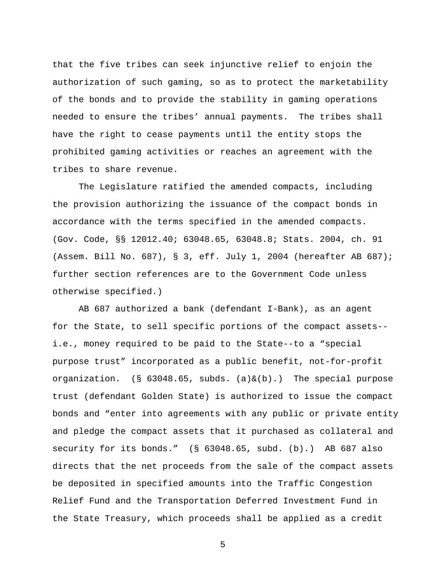that the five tribes can seek injunctive relief to enjoin the authorization of such gaming, so as to protect the marketability of the bonds and to provide the stability in gaming operations needed to ensure the tribes' annual payments. The tribes shall have the right to cease payments until the entity stops the prohibited gaming activities or reaches an agreement with the tribes to share revenue.

 The Legislature ratified the amended compacts, including the provision authorizing the issuance of the compact bonds in accordance with the terms specified in the amended compacts. (Gov. Code, §§ 12012.40; 63048.65, 63048.8; Stats. 2004, ch. 91 (Assem. Bill No. 687), § 3, eff. July 1, 2004 (hereafter AB 687); further section references are to the Government Code unless otherwise specified.)

 AB 687 authorized a bank (defendant I-Bank), as an agent for the State, to sell specific portions of the compact assets- i.e., money required to be paid to the State--to a "special purpose trust" incorporated as a public benefit, not-for-profit organization. (§ 63048.65, subds. (a)&(b).) The special purpose trust (defendant Golden State) is authorized to issue the compact bonds and "enter into agreements with any public or private entity and pledge the compact assets that it purchased as collateral and security for its bonds." (§ 63048.65, subd. (b).) AB 687 also directs that the net proceeds from the sale of the compact assets be deposited in specified amounts into the Traffic Congestion Relief Fund and the Transportation Deferred Investment Fund in the State Treasury, which proceeds shall be applied as a credit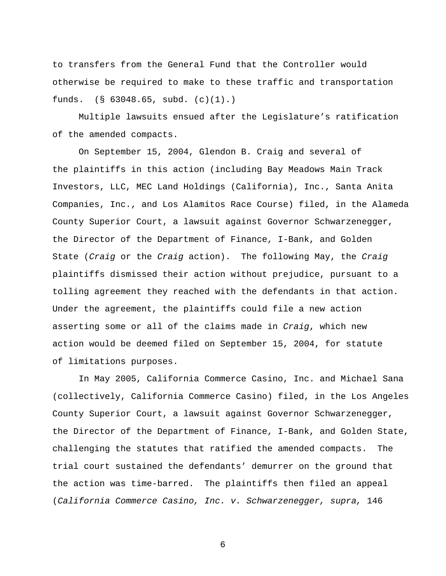to transfers from the General Fund that the Controller would otherwise be required to make to these traffic and transportation funds. (§ 63048.65, subd. (c)(1).)

 Multiple lawsuits ensued after the Legislature's ratification of the amended compacts.

 On September 15, 2004, Glendon B. Craig and several of the plaintiffs in this action (including Bay Meadows Main Track Investors, LLC, MEC Land Holdings (California), Inc., Santa Anita Companies, Inc., and Los Alamitos Race Course) filed, in the Alameda County Superior Court, a lawsuit against Governor Schwarzenegger, the Director of the Department of Finance, I-Bank, and Golden State (*Craig* or the *Craig* action). The following May, the *Craig* plaintiffs dismissed their action without prejudice, pursuant to a tolling agreement they reached with the defendants in that action. Under the agreement, the plaintiffs could file a new action asserting some or all of the claims made in *Craig*, which new action would be deemed filed on September 15, 2004, for statute of limitations purposes.

 In May 2005, California Commerce Casino, Inc. and Michael Sana (collectively, California Commerce Casino) filed, in the Los Angeles County Superior Court, a lawsuit against Governor Schwarzenegger, the Director of the Department of Finance, I-Bank, and Golden State, challenging the statutes that ratified the amended compacts. The trial court sustained the defendants' demurrer on the ground that the action was time-barred. The plaintiffs then filed an appeal (*California Commerce Casino, Inc. v. Schwarzenegger, supra,* 146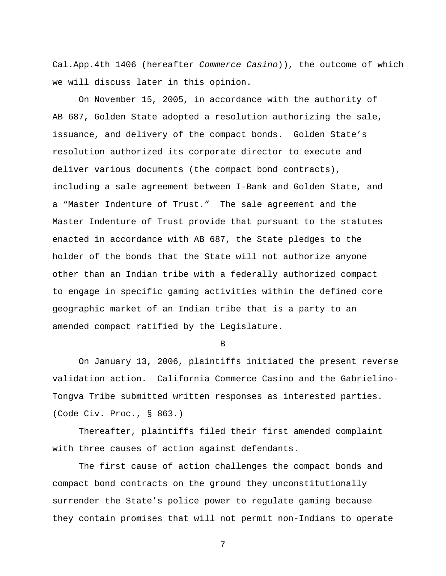Cal.App.4th 1406 (hereafter *Commerce Casino*)), the outcome of which we will discuss later in this opinion.

 On November 15, 2005, in accordance with the authority of AB 687, Golden State adopted a resolution authorizing the sale, issuance, and delivery of the compact bonds. Golden State's resolution authorized its corporate director to execute and deliver various documents (the compact bond contracts), including a sale agreement between I-Bank and Golden State, and a "Master Indenture of Trust." The sale agreement and the Master Indenture of Trust provide that pursuant to the statutes enacted in accordance with AB 687, the State pledges to the holder of the bonds that the State will not authorize anyone other than an Indian tribe with a federally authorized compact to engage in specific gaming activities within the defined core geographic market of an Indian tribe that is a party to an amended compact ratified by the Legislature.

B

 On January 13, 2006, plaintiffs initiated the present reverse validation action. California Commerce Casino and the Gabrielino-Tongva Tribe submitted written responses as interested parties. (Code Civ. Proc., § 863.)

Thereafter, plaintiffs filed their first amended complaint with three causes of action against defendants.

The first cause of action challenges the compact bonds and compact bond contracts on the ground they unconstitutionally surrender the State's police power to regulate gaming because they contain promises that will not permit non-Indians to operate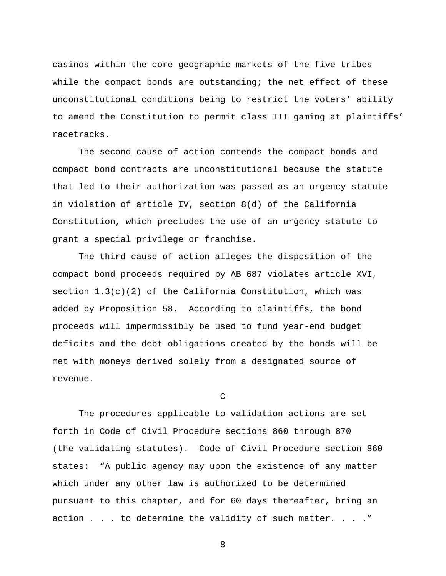casinos within the core geographic markets of the five tribes while the compact bonds are outstanding; the net effect of these unconstitutional conditions being to restrict the voters' ability to amend the Constitution to permit class III gaming at plaintiffs' racetracks.

The second cause of action contends the compact bonds and compact bond contracts are unconstitutional because the statute that led to their authorization was passed as an urgency statute in violation of article IV, section 8(d) of the California Constitution, which precludes the use of an urgency statute to grant a special privilege or franchise.

The third cause of action alleges the disposition of the compact bond proceeds required by AB 687 violates article XVI, section  $1.3(c)(2)$  of the California Constitution, which was added by Proposition 58. According to plaintiffs, the bond proceeds will impermissibly be used to fund year-end budget deficits and the debt obligations created by the bonds will be met with moneys derived solely from a designated source of revenue.

C

The procedures applicable to validation actions are set forth in Code of Civil Procedure sections 860 through 870 (the validating statutes). Code of Civil Procedure section 860 states: "A public agency may upon the existence of any matter which under any other law is authorized to be determined pursuant to this chapter, and for 60 days thereafter, bring an action . . . to determine the validity of such matter. . . ."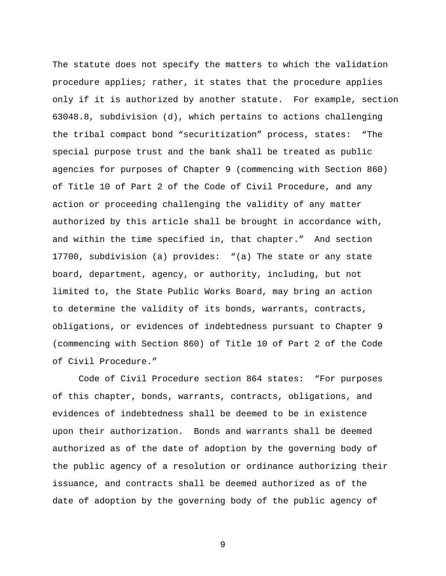The statute does not specify the matters to which the validation procedure applies; rather, it states that the procedure applies only if it is authorized by another statute. For example, section 63048.8, subdivision (d), which pertains to actions challenging the tribal compact bond "securitization" process, states: "The special purpose trust and the bank shall be treated as public agencies for purposes of Chapter 9 (commencing with Section 860) of Title 10 of Part 2 of the Code of Civil Procedure, and any action or proceeding challenging the validity of any matter authorized by this article shall be brought in accordance with, and within the time specified in, that chapter." And section 17700, subdivision (a) provides: "(a) The state or any state board, department, agency, or authority, including, but not limited to, the State Public Works Board, may bring an action to determine the validity of its bonds, warrants, contracts, obligations, or evidences of indebtedness pursuant to Chapter 9 (commencing with Section 860) of Title 10 of Part 2 of the Code of Civil Procedure."

Code of Civil Procedure section 864 states: "For purposes of this chapter, bonds, warrants, contracts, obligations, and evidences of indebtedness shall be deemed to be in existence upon their authorization. Bonds and warrants shall be deemed authorized as of the date of adoption by the governing body of the public agency of a resolution or ordinance authorizing their issuance, and contracts shall be deemed authorized as of the date of adoption by the governing body of the public agency of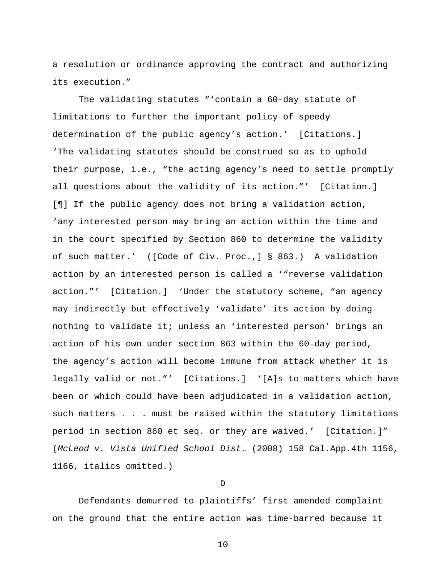a resolution or ordinance approving the contract and authorizing its execution."

The validating statutes "'contain a 60-day statute of limitations to further the important policy of speedy determination of the public agency's action.' [Citations.] 'The validating statutes should be construed so as to uphold their purpose, i.e., "the acting agency's need to settle promptly all questions about the validity of its action."' [Citation.] [¶] If the public agency does not bring a validation action, 'any interested person may bring an action within the time and in the court specified by Section 860 to determine the validity of such matter.' ([Code of Civ. Proc.,] § 863.) A validation action by an interested person is called a '"reverse validation action."' [Citation.] 'Under the statutory scheme, "an agency may indirectly but effectively 'validate' its action by doing nothing to validate it; unless an 'interested person' brings an action of his own under section 863 within the 60-day period, the agency's action will become immune from attack whether it is legally valid or not."' [Citations.] '[A]s to matters which have been or which could have been adjudicated in a validation action, such matters . . . must be raised within the statutory limitations period in section 860 et seq. or they are waived.' [Citation.]" (*McLeod v. Vista Unified School Dist*. (2008) 158 Cal.App.4th 1156, 1166, italics omitted.)

 $\mathbb D$ 

 Defendants demurred to plaintiffs' first amended complaint on the ground that the entire action was time-barred because it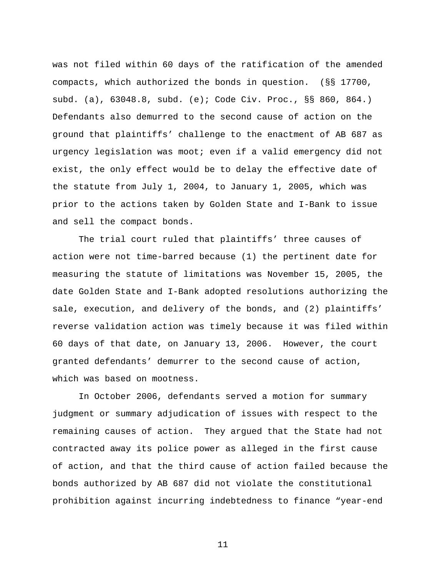was not filed within 60 days of the ratification of the amended compacts, which authorized the bonds in question. (§§ 17700, subd. (a), 63048.8, subd. (e); Code Civ. Proc., §§ 860, 864.) Defendants also demurred to the second cause of action on the ground that plaintiffs' challenge to the enactment of AB 687 as urgency legislation was moot; even if a valid emergency did not exist, the only effect would be to delay the effective date of the statute from July 1, 2004, to January 1, 2005, which was prior to the actions taken by Golden State and I-Bank to issue and sell the compact bonds.

 The trial court ruled that plaintiffs' three causes of action were not time-barred because (1) the pertinent date for measuring the statute of limitations was November 15, 2005, the date Golden State and I-Bank adopted resolutions authorizing the sale, execution, and delivery of the bonds, and (2) plaintiffs' reverse validation action was timely because it was filed within 60 days of that date, on January 13, 2006. However, the court granted defendants' demurrer to the second cause of action, which was based on mootness.

 In October 2006, defendants served a motion for summary judgment or summary adjudication of issues with respect to the remaining causes of action. They argued that the State had not contracted away its police power as alleged in the first cause of action, and that the third cause of action failed because the bonds authorized by AB 687 did not violate the constitutional prohibition against incurring indebtedness to finance "year-end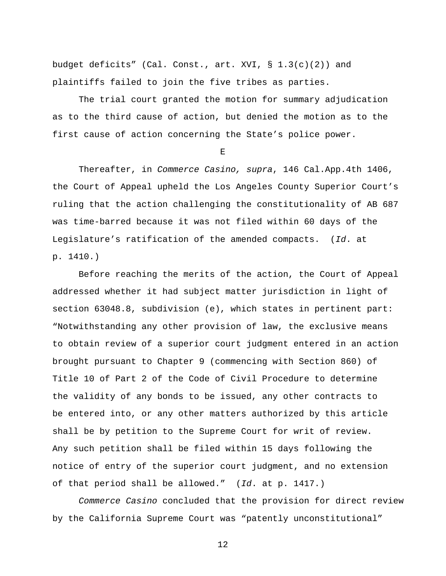budget deficits" (Cal. Const., art. XVI, § 1.3(c)(2)) and plaintiffs failed to join the five tribes as parties.

 The trial court granted the motion for summary adjudication as to the third cause of action, but denied the motion as to the first cause of action concerning the State's police power.

E

 Thereafter, in *Commerce Casino, supra*, 146 Cal.App.4th 1406, the Court of Appeal upheld the Los Angeles County Superior Court's ruling that the action challenging the constitutionality of AB 687 was time-barred because it was not filed within 60 days of the Legislature's ratification of the amended compacts. (*Id*. at p. 1410.)

 Before reaching the merits of the action, the Court of Appeal addressed whether it had subject matter jurisdiction in light of section 63048.8, subdivision (e), which states in pertinent part: "Notwithstanding any other provision of law, the exclusive means to obtain review of a superior court judgment entered in an action brought pursuant to Chapter 9 (commencing with Section 860) of Title 10 of Part 2 of the Code of Civil Procedure to determine the validity of any bonds to be issued, any other contracts to be entered into, or any other matters authorized by this article shall be by petition to the Supreme Court for writ of review. Any such petition shall be filed within 15 days following the notice of entry of the superior court judgment, and no extension of that period shall be allowed." (*Id*. at p. 1417.)

*Commerce Casino* concluded that the provision for direct review by the California Supreme Court was "patently unconstitutional"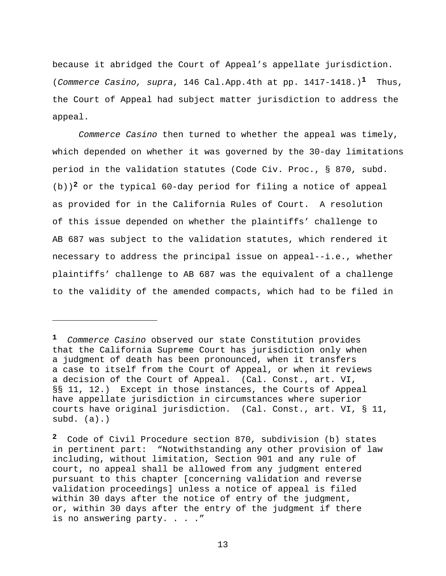because it abridged the Court of Appeal's appellate jurisdiction. (*Commerce Casino, supra*, 146 Cal.App.4th at pp. 1417-1418.)**1** Thus, the Court of Appeal had subject matter jurisdiction to address the appeal.

*Commerce Casino* then turned to whether the appeal was timely, which depended on whether it was governed by the 30-day limitations period in the validation statutes (Code Civ. Proc., § 870, subd. (b))**2** or the typical 60-day period for filing a notice of appeal as provided for in the California Rules of Court. A resolution of this issue depended on whether the plaintiffs' challenge to AB 687 was subject to the validation statutes, which rendered it necessary to address the principal issue on appeal--i.e., whether plaintiffs' challenge to AB 687 was the equivalent of a challenge to the validity of the amended compacts, which had to be filed in

i

**<sup>1</sup>** *Commerce Casino* observed our state Constitution provides that the California Supreme Court has jurisdiction only when a judgment of death has been pronounced, when it transfers a case to itself from the Court of Appeal, or when it reviews a decision of the Court of Appeal. (Cal. Const., art. VI, §§ 11, 12.) Except in those instances, the Courts of Appeal have appellate jurisdiction in circumstances where superior courts have original jurisdiction. (Cal. Const., art. VI, § 11, subd. (a).)

**<sup>2</sup>** Code of Civil Procedure section 870, subdivision (b) states in pertinent part: "Notwithstanding any other provision of law including, without limitation, Section 901 and any rule of court, no appeal shall be allowed from any judgment entered pursuant to this chapter [concerning validation and reverse validation proceedings] unless a notice of appeal is filed within 30 days after the notice of entry of the judgment, or, within 30 days after the entry of the judgment if there is no answering party. . . ."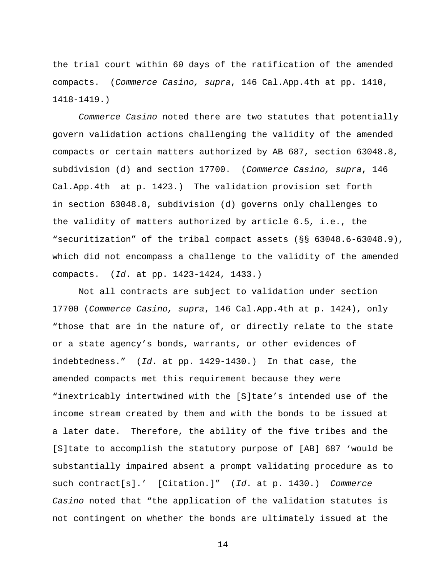the trial court within 60 days of the ratification of the amended compacts. (*Commerce Casino, supra*, 146 Cal.App.4th at pp. 1410, 1418-1419.)

*Commerce Casino* noted there are two statutes that potentially govern validation actions challenging the validity of the amended compacts or certain matters authorized by AB 687, section 63048.8, subdivision (d) and section 17700. (*Commerce Casino, supra*, 146 Cal.App.4th at p. 1423.) The validation provision set forth in section 63048.8, subdivision (d) governs only challenges to the validity of matters authorized by article 6.5, i.e., the "securitization" of the tribal compact assets (§§ 63048.6-63048.9), which did not encompass a challenge to the validity of the amended compacts. (*Id*. at pp. 1423-1424, 1433.)

 Not all contracts are subject to validation under section 17700 (*Commerce Casino, supra*, 146 Cal.App.4th at p. 1424), only "those that are in the nature of, or directly relate to the state or a state agency's bonds, warrants, or other evidences of indebtedness." (*Id*. at pp. 1429-1430.) In that case, the amended compacts met this requirement because they were "inextricably intertwined with the [S]tate's intended use of the income stream created by them and with the bonds to be issued at a later date. Therefore, the ability of the five tribes and the [S]tate to accomplish the statutory purpose of [AB] 687 'would be substantially impaired absent a prompt validating procedure as to such contract[s].' [Citation.]" (*Id*. at p. 1430.) *Commerce Casino* noted that "the application of the validation statutes is not contingent on whether the bonds are ultimately issued at the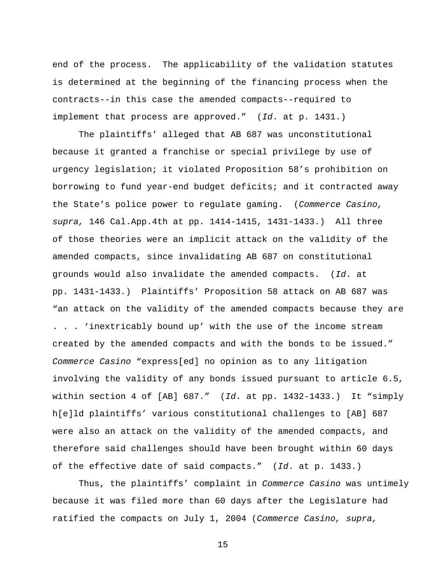end of the process. The applicability of the validation statutes is determined at the beginning of the financing process when the contracts--in this case the amended compacts--required to implement that process are approved." (*Id*. at p. 1431.)

 The plaintiffs' alleged that AB 687 was unconstitutional because it granted a franchise or special privilege by use of urgency legislation; it violated Proposition 58's prohibition on borrowing to fund year-end budget deficits; and it contracted away the State's police power to regulate gaming. (*Commerce Casino, supra,* 146 Cal.App.4th at pp. 1414-1415, 1431-1433.) All three of those theories were an implicit attack on the validity of the amended compacts, since invalidating AB 687 on constitutional grounds would also invalidate the amended compacts. (*Id*. at pp. 1431-1433.) Plaintiffs' Proposition 58 attack on AB 687 was "an attack on the validity of the amended compacts because they are . . . 'inextricably bound up' with the use of the income stream created by the amended compacts and with the bonds to be issued." *Commerce Casino* "express[ed] no opinion as to any litigation involving the validity of any bonds issued pursuant to article 6.5, within section 4 of [AB] 687." (*Id*. at pp. 1432-1433.) It "simply h[e]ld plaintiffs' various constitutional challenges to [AB] 687 were also an attack on the validity of the amended compacts, and therefore said challenges should have been brought within 60 days of the effective date of said compacts." (*Id*. at p. 1433.)

 Thus, the plaintiffs' complaint in *Commerce Casino* was untimely because it was filed more than 60 days after the Legislature had ratified the compacts on July 1, 2004 (*Commerce Casino, supra,*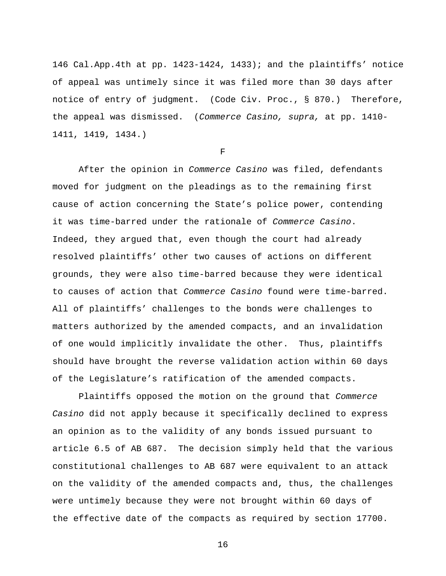146 Cal.App.4th at pp. 1423-1424, 1433); and the plaintiffs' notice of appeal was untimely since it was filed more than 30 days after notice of entry of judgment. (Code Civ. Proc., § 870.) Therefore, the appeal was dismissed. (*Commerce Casino, supra,* at pp. 1410- 1411, 1419, 1434.)

 $\mathbf F$ 

 After the opinion in *Commerce Casino* was filed, defendants moved for judgment on the pleadings as to the remaining first cause of action concerning the State's police power, contending it was time-barred under the rationale of *Commerce Casino*. Indeed, they argued that, even though the court had already resolved plaintiffs' other two causes of actions on different grounds, they were also time-barred because they were identical to causes of action that *Commerce Casino* found were time-barred. All of plaintiffs' challenges to the bonds were challenges to matters authorized by the amended compacts, and an invalidation of one would implicitly invalidate the other. Thus, plaintiffs should have brought the reverse validation action within 60 days of the Legislature's ratification of the amended compacts.

 Plaintiffs opposed the motion on the ground that *Commerce Casino* did not apply because it specifically declined to express an opinion as to the validity of any bonds issued pursuant to article 6.5 of AB 687. The decision simply held that the various constitutional challenges to AB 687 were equivalent to an attack on the validity of the amended compacts and, thus, the challenges were untimely because they were not brought within 60 days of the effective date of the compacts as required by section 17700.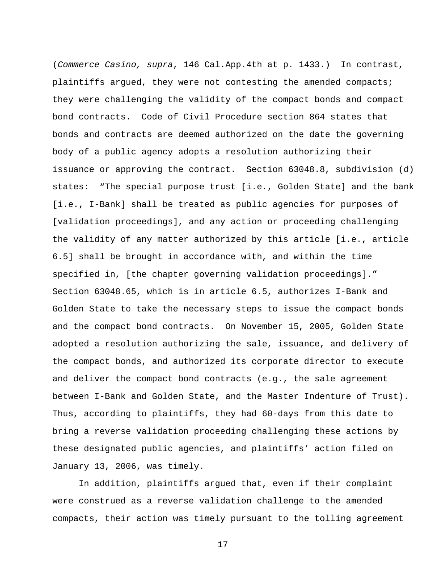(*Commerce Casino, supra*, 146 Cal.App.4th at p. 1433.) In contrast, plaintiffs argued, they were not contesting the amended compacts; they were challenging the validity of the compact bonds and compact bond contracts. Code of Civil Procedure section 864 states that bonds and contracts are deemed authorized on the date the governing body of a public agency adopts a resolution authorizing their issuance or approving the contract. Section 63048.8, subdivision (d) states: "The special purpose trust [i.e., Golden State] and the bank [i.e., I-Bank] shall be treated as public agencies for purposes of [validation proceedings], and any action or proceeding challenging the validity of any matter authorized by this article [i.e., article 6.5] shall be brought in accordance with, and within the time specified in, [the chapter governing validation proceedings]." Section 63048.65, which is in article 6.5, authorizes I-Bank and Golden State to take the necessary steps to issue the compact bonds and the compact bond contracts. On November 15, 2005, Golden State adopted a resolution authorizing the sale, issuance, and delivery of the compact bonds, and authorized its corporate director to execute and deliver the compact bond contracts (e.g., the sale agreement between I-Bank and Golden State, and the Master Indenture of Trust). Thus, according to plaintiffs, they had 60-days from this date to bring a reverse validation proceeding challenging these actions by these designated public agencies, and plaintiffs' action filed on January 13, 2006, was timely.

In addition, plaintiffs argued that, even if their complaint were construed as a reverse validation challenge to the amended compacts, their action was timely pursuant to the tolling agreement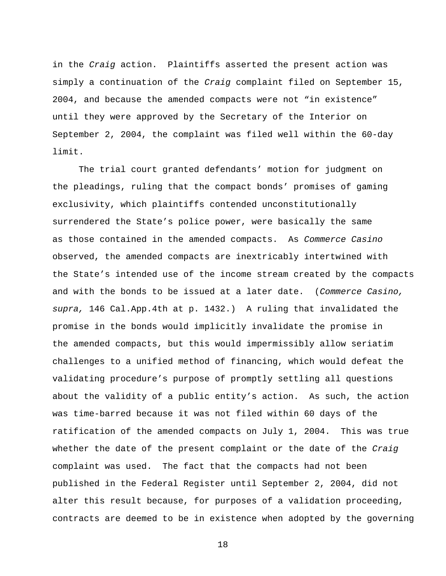in the *Craig* action. Plaintiffs asserted the present action was simply a continuation of the *Craig* complaint filed on September 15, 2004, and because the amended compacts were not "in existence" until they were approved by the Secretary of the Interior on September 2, 2004, the complaint was filed well within the 60-day limit.

 The trial court granted defendants' motion for judgment on the pleadings, ruling that the compact bonds' promises of gaming exclusivity, which plaintiffs contended unconstitutionally surrendered the State's police power, were basically the same as those contained in the amended compacts. As *Commerce Casino* observed, the amended compacts are inextricably intertwined with the State's intended use of the income stream created by the compacts and with the bonds to be issued at a later date. (*Commerce Casino, supra,* 146 Cal.App.4th at p. 1432.) A ruling that invalidated the promise in the bonds would implicitly invalidate the promise in the amended compacts, but this would impermissibly allow seriatim challenges to a unified method of financing, which would defeat the validating procedure's purpose of promptly settling all questions about the validity of a public entity's action. As such, the action was time-barred because it was not filed within 60 days of the ratification of the amended compacts on July 1, 2004. This was true whether the date of the present complaint or the date of the *Craig* complaint was used. The fact that the compacts had not been published in the Federal Register until September 2, 2004, did not alter this result because, for purposes of a validation proceeding, contracts are deemed to be in existence when adopted by the governing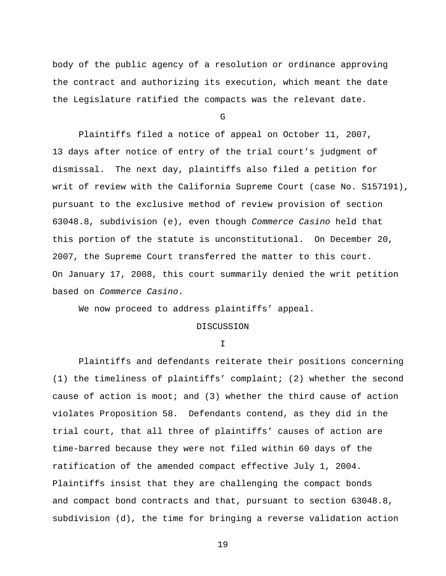body of the public agency of a resolution or ordinance approving the contract and authorizing its execution, which meant the date the Legislature ratified the compacts was the relevant date.

G

 Plaintiffs filed a notice of appeal on October 11, 2007, 13 days after notice of entry of the trial court's judgment of dismissal. The next day, plaintiffs also filed a petition for writ of review with the California Supreme Court (case No. S157191), pursuant to the exclusive method of review provision of section 63048.8, subdivision (e), even though *Commerce Casino* held that this portion of the statute is unconstitutional. On December 20, 2007, the Supreme Court transferred the matter to this court. On January 17, 2008, this court summarily denied the writ petition based on *Commerce Casino*.

We now proceed to address plaintiffs' appeal.

## DISCUSSION

I

 Plaintiffs and defendants reiterate their positions concerning (1) the timeliness of plaintiffs' complaint; (2) whether the second cause of action is moot; and (3) whether the third cause of action violates Proposition 58. Defendants contend, as they did in the trial court, that all three of plaintiffs' causes of action are time-barred because they were not filed within 60 days of the ratification of the amended compact effective July 1, 2004. Plaintiffs insist that they are challenging the compact bonds and compact bond contracts and that, pursuant to section 63048.8, subdivision (d), the time for bringing a reverse validation action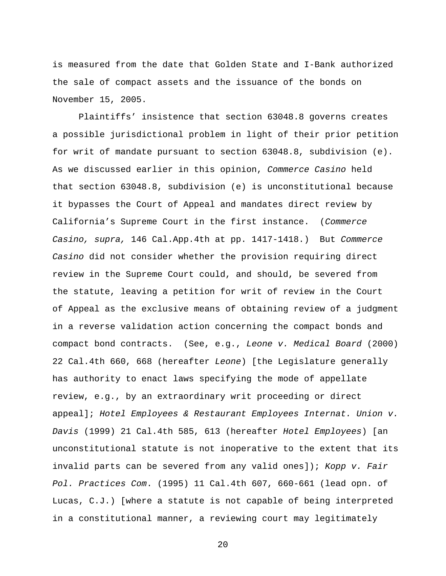is measured from the date that Golden State and I-Bank authorized the sale of compact assets and the issuance of the bonds on November 15, 2005.

 Plaintiffs' insistence that section 63048.8 governs creates a possible jurisdictional problem in light of their prior petition for writ of mandate pursuant to section 63048.8, subdivision (e). As we discussed earlier in this opinion, *Commerce Casino* held that section 63048.8, subdivision (e) is unconstitutional because it bypasses the Court of Appeal and mandates direct review by California's Supreme Court in the first instance. (*Commerce Casino, supra,* 146 Cal.App.4th at pp. 1417-1418.) But *Commerce Casino* did not consider whether the provision requiring direct review in the Supreme Court could, and should, be severed from the statute, leaving a petition for writ of review in the Court of Appeal as the exclusive means of obtaining review of a judgment in a reverse validation action concerning the compact bonds and compact bond contracts. (See, e.g., *Leone v. Medical Board* (2000) 22 Cal.4th 660, 668 (hereafter *Leone*) [the Legislature generally has authority to enact laws specifying the mode of appellate review, e.g., by an extraordinary writ proceeding or direct appeal]; *Hotel Employees & Restaurant Employees Internat. Union v. Davis* (1999) 21 Cal.4th 585, 613 (hereafter *Hotel Employees*) [an unconstitutional statute is not inoperative to the extent that its invalid parts can be severed from any valid ones]); *Kopp v. Fair Pol. Practices Com*. (1995) 11 Cal.4th 607, 660-661 (lead opn. of Lucas, C.J.) [where a statute is not capable of being interpreted in a constitutional manner, a reviewing court may legitimately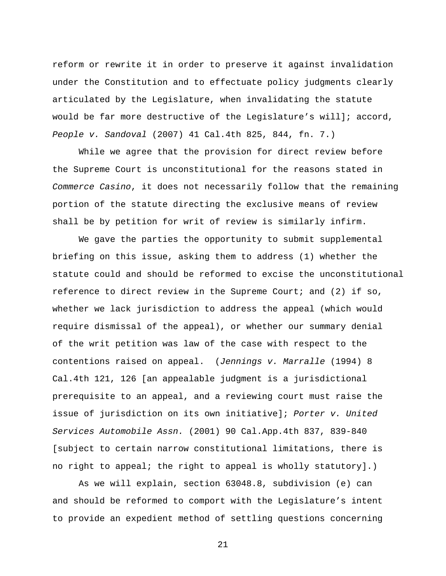reform or rewrite it in order to preserve it against invalidation under the Constitution and to effectuate policy judgments clearly articulated by the Legislature, when invalidating the statute would be far more destructive of the Legislature's will]; accord, *People v. Sandoval* (2007) 41 Cal.4th 825, 844, fn. 7.)

 While we agree that the provision for direct review before the Supreme Court is unconstitutional for the reasons stated in *Commerce Casino*, it does not necessarily follow that the remaining portion of the statute directing the exclusive means of review shall be by petition for writ of review is similarly infirm.

 We gave the parties the opportunity to submit supplemental briefing on this issue, asking them to address (1) whether the statute could and should be reformed to excise the unconstitutional reference to direct review in the Supreme Court; and (2) if so, whether we lack jurisdiction to address the appeal (which would require dismissal of the appeal), or whether our summary denial of the writ petition was law of the case with respect to the contentions raised on appeal. (*Jennings v. Marralle* (1994) 8 Cal.4th 121, 126 [an appealable judgment is a jurisdictional prerequisite to an appeal, and a reviewing court must raise the issue of jurisdiction on its own initiative]; *Porter v. United Services Automobile Assn.* (2001) 90 Cal.App.4th 837, 839-840 [subject to certain narrow constitutional limitations, there is no right to appeal; the right to appeal is wholly statutory].)

 As we will explain, section 63048.8, subdivision (e) can and should be reformed to comport with the Legislature's intent to provide an expedient method of settling questions concerning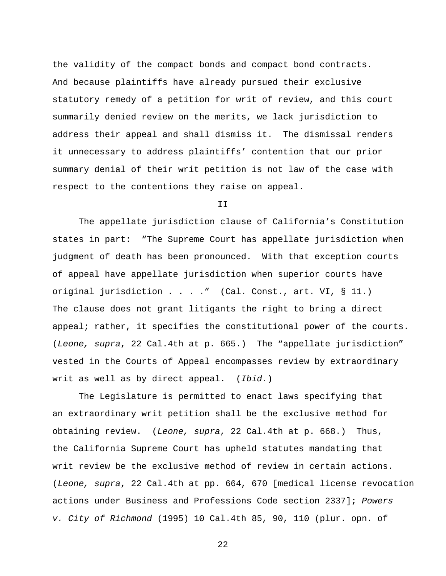the validity of the compact bonds and compact bond contracts. And because plaintiffs have already pursued their exclusive statutory remedy of a petition for writ of review, and this court summarily denied review on the merits, we lack jurisdiction to address their appeal and shall dismiss it. The dismissal renders it unnecessary to address plaintiffs' contention that our prior summary denial of their writ petition is not law of the case with respect to the contentions they raise on appeal.

II

The appellate jurisdiction clause of California's Constitution states in part: "The Supreme Court has appellate jurisdiction when judgment of death has been pronounced. With that exception courts of appeal have appellate jurisdiction when superior courts have original jurisdiction . . . ." (Cal. Const., art. VI, § 11.) The clause does not grant litigants the right to bring a direct appeal; rather, it specifies the constitutional power of the courts. (*Leone, supra*, 22 Cal.4th at p. 665.) The "appellate jurisdiction" vested in the Courts of Appeal encompasses review by extraordinary writ as well as by direct appeal. (*Ibid*.)

The Legislature is permitted to enact laws specifying that an extraordinary writ petition shall be the exclusive method for obtaining review. (*Leone, supra*, 22 Cal.4th at p. 668.) Thus, the California Supreme Court has upheld statutes mandating that writ review be the exclusive method of review in certain actions. (*Leone, supra*, 22 Cal.4th at pp. 664, 670 [medical license revocation actions under Business and Professions Code section 2337]; *Powers v. City of Richmond* (1995) 10 Cal.4th 85, 90, 110 (plur. opn. of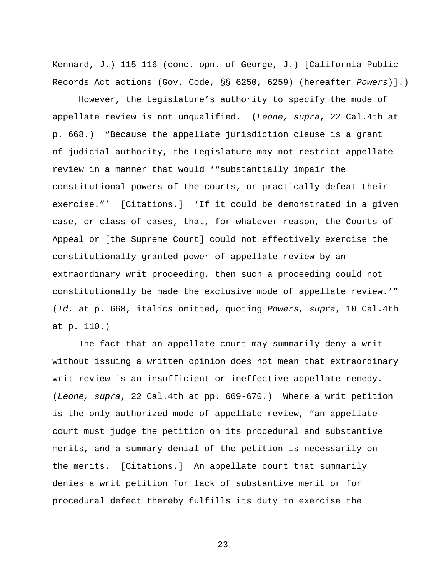Kennard, J.) 115-116 (conc. opn. of George, J.) [California Public Records Act actions (Gov. Code, §§ 6250, 6259) (hereafter *Powers*)].)

 However, the Legislature's authority to specify the mode of appellate review is not unqualified. (*Leone, supra*, 22 Cal.4th at p. 668.) "Because the appellate jurisdiction clause is a grant of judicial authority, the Legislature may not restrict appellate review in a manner that would '"substantially impair the constitutional powers of the courts, or practically defeat their exercise."' [Citations.] 'If it could be demonstrated in a given case, or class of cases, that, for whatever reason, the Courts of Appeal or [the Supreme Court] could not effectively exercise the constitutionally granted power of appellate review by an extraordinary writ proceeding, then such a proceeding could not constitutionally be made the exclusive mode of appellate review.'" (*Id.* at p. 668, italics omitted, quoting *Powers, supra*, 10 Cal.4th at p. 110.)

The fact that an appellate court may summarily deny a writ without issuing a written opinion does not mean that extraordinary writ review is an insufficient or ineffective appellate remedy. (*Leone, supra*, 22 Cal.4th at pp. 669-670.) Where a writ petition is the only authorized mode of appellate review, "an appellate court must judge the petition on its procedural and substantive merits, and a summary denial of the petition is necessarily on the merits. [Citations.] An appellate court that summarily denies a writ petition for lack of substantive merit or for procedural defect thereby fulfills its duty to exercise the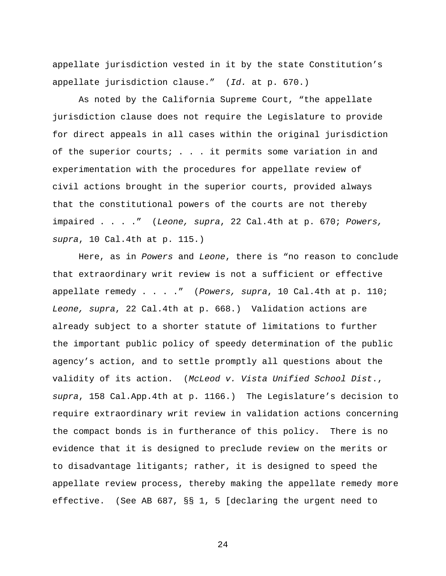appellate jurisdiction vested in it by the state Constitution's appellate jurisdiction clause." (*Id.* at p. 670.)

As noted by the California Supreme Court, "the appellate jurisdiction clause does not require the Legislature to provide for direct appeals in all cases within the original jurisdiction of the superior courts; . . . it permits some variation in and experimentation with the procedures for appellate review of civil actions brought in the superior courts, provided always that the constitutional powers of the courts are not thereby impaired . . . ." (*Leone, supra*, 22 Cal.4th at p. 670; *Powers, supra*, 10 Cal.4th at p. 115.)

Here, as in *Powers* and *Leone*, there is "no reason to conclude that extraordinary writ review is not a sufficient or effective appellate remedy . . . ." (*Powers, supra*, 10 Cal.4th at p. 110; *Leone, supra*, 22 Cal.4th at p. 668.) Validation actions are already subject to a shorter statute of limitations to further the important public policy of speedy determination of the public agency's action, and to settle promptly all questions about the validity of its action. (*McLeod v. Vista Unified School Dist*., *supra*, 158 Cal.App.4th at p. 1166.) The Legislature's decision to require extraordinary writ review in validation actions concerning the compact bonds is in furtherance of this policy. There is no evidence that it is designed to preclude review on the merits or to disadvantage litigants; rather, it is designed to speed the appellate review process, thereby making the appellate remedy more effective. (See AB 687, §§ 1, 5 [declaring the urgent need to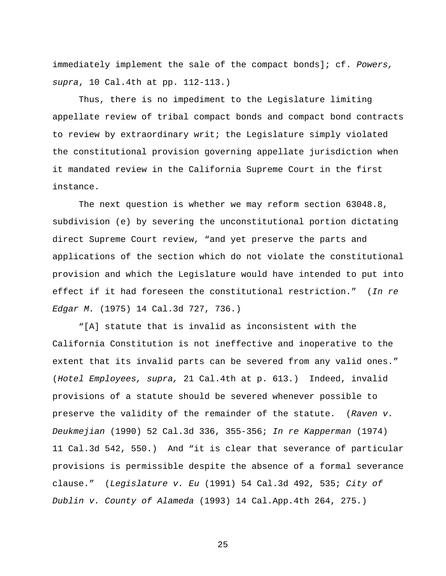immediately implement the sale of the compact bonds]; cf. *Powers, supra*, 10 Cal.4th at pp. 112-113.)

Thus, there is no impediment to the Legislature limiting appellate review of tribal compact bonds and compact bond contracts to review by extraordinary writ; the Legislature simply violated the constitutional provision governing appellate jurisdiction when it mandated review in the California Supreme Court in the first instance.

The next question is whether we may reform section 63048.8, subdivision (e) by severing the unconstitutional portion dictating direct Supreme Court review, "and yet preserve the parts and applications of the section which do not violate the constitutional provision and which the Legislature would have intended to put into effect if it had foreseen the constitutional restriction." (*In re Edgar M.* (1975) 14 Cal.3d 727, 736.)

 "[A] statute that is invalid as inconsistent with the California Constitution is not ineffective and inoperative to the extent that its invalid parts can be severed from any valid ones." (*Hotel Employees, supra,* 21 Cal.4th at p. 613.) Indeed, invalid provisions of a statute should be severed whenever possible to preserve the validity of the remainder of the statute. (*Raven v. Deukmejian* (1990) 52 Cal.3d 336, 355-356; *In re Kapperman* (1974) 11 Cal.3d 542, 550.) And "it is clear that severance of particular provisions is permissible despite the absence of a formal severance clause." (*Legislature v. Eu* (1991) 54 Cal.3d 492, 535; *City of Dublin v. County of Alameda* (1993) 14 Cal.App.4th 264, 275.)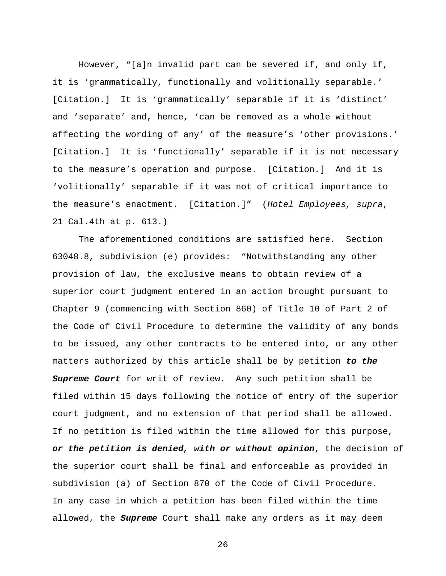However, "[a]n invalid part can be severed if, and only if, it is 'grammatically, functionally and volitionally separable.' [Citation.] It is 'grammatically' separable if it is 'distinct' and 'separate' and, hence, 'can be removed as a whole without affecting the wording of any' of the measure's 'other provisions.' [Citation.] It is 'functionally' separable if it is not necessary to the measure's operation and purpose. [Citation.] And it is 'volitionally' separable if it was not of critical importance to the measure's enactment. [Citation.]" (*Hotel Employees, supra*, 21 Cal.4th at p. 613.)

 The aforementioned conditions are satisfied here. Section 63048.8, subdivision (e) provides: "Notwithstanding any other provision of law, the exclusive means to obtain review of a superior court judgment entered in an action brought pursuant to Chapter 9 (commencing with Section 860) of Title 10 of Part 2 of the Code of Civil Procedure to determine the validity of any bonds to be issued, any other contracts to be entered into, or any other matters authorized by this article shall be by petition *to the Supreme Court* for writ of review. Any such petition shall be filed within 15 days following the notice of entry of the superior court judgment, and no extension of that period shall be allowed. If no petition is filed within the time allowed for this purpose, *or the petition is denied, with or without opinion*, the decision of the superior court shall be final and enforceable as provided in subdivision (a) of Section 870 of the Code of Civil Procedure. In any case in which a petition has been filed within the time allowed, the *Supreme* Court shall make any orders as it may deem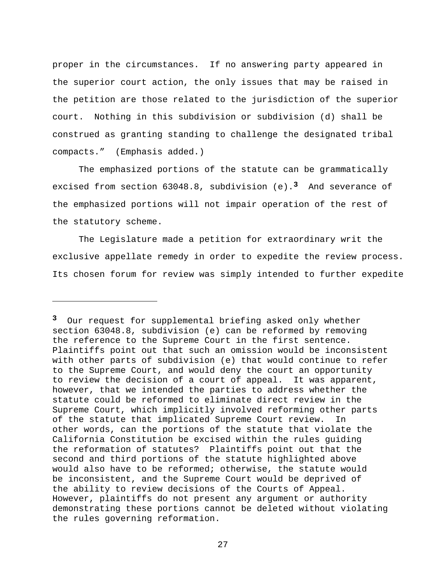proper in the circumstances. If no answering party appeared in the superior court action, the only issues that may be raised in the petition are those related to the jurisdiction of the superior court. Nothing in this subdivision or subdivision (d) shall be construed as granting standing to challenge the designated tribal compacts." (Emphasis added.)

The emphasized portions of the statute can be grammatically excised from section 63048.8, subdivision (e).**3** And severance of the emphasized portions will not impair operation of the rest of the statutory scheme.

The Legislature made a petition for extraordinary writ the exclusive appellate remedy in order to expedite the review process. Its chosen forum for review was simply intended to further expedite

i<br>Li

**<sup>3</sup>** Our request for supplemental briefing asked only whether section 63048.8, subdivision (e) can be reformed by removing the reference to the Supreme Court in the first sentence. Plaintiffs point out that such an omission would be inconsistent with other parts of subdivision (e) that would continue to refer to the Supreme Court, and would deny the court an opportunity to review the decision of a court of appeal. It was apparent, however, that we intended the parties to address whether the statute could be reformed to eliminate direct review in the Supreme Court, which implicitly involved reforming other parts of the statute that implicated Supreme Court review. In other words, can the portions of the statute that violate the California Constitution be excised within the rules guiding the reformation of statutes? Plaintiffs point out that the second and third portions of the statute highlighted above would also have to be reformed; otherwise, the statute would be inconsistent, and the Supreme Court would be deprived of the ability to review decisions of the Courts of Appeal. However, plaintiffs do not present any argument or authority demonstrating these portions cannot be deleted without violating the rules governing reformation.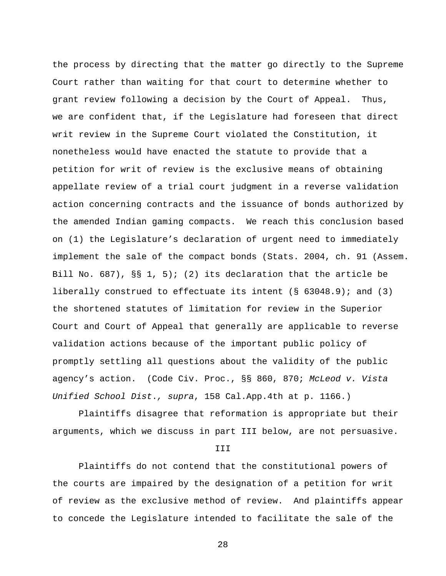the process by directing that the matter go directly to the Supreme Court rather than waiting for that court to determine whether to grant review following a decision by the Court of Appeal. Thus, we are confident that, if the Legislature had foreseen that direct writ review in the Supreme Court violated the Constitution, it nonetheless would have enacted the statute to provide that a petition for writ of review is the exclusive means of obtaining appellate review of a trial court judgment in a reverse validation action concerning contracts and the issuance of bonds authorized by the amended Indian gaming compacts. We reach this conclusion based on (1) the Legislature's declaration of urgent need to immediately implement the sale of the compact bonds (Stats. 2004, ch. 91 (Assem. Bill No. 687), §§ 1, 5); (2) its declaration that the article be liberally construed to effectuate its intent (§ 63048.9); and (3) the shortened statutes of limitation for review in the Superior Court and Court of Appeal that generally are applicable to reverse validation actions because of the important public policy of promptly settling all questions about the validity of the public agency's action. (Code Civ. Proc., §§ 860, 870; *McLeod v. Vista Unified School Dist*.*, supra*, 158 Cal.App.4th at p. 1166.)

Plaintiffs disagree that reformation is appropriate but their arguments, which we discuss in part III below, are not persuasive.

III

Plaintiffs do not contend that the constitutional powers of the courts are impaired by the designation of a petition for writ of review as the exclusive method of review. And plaintiffs appear to concede the Legislature intended to facilitate the sale of the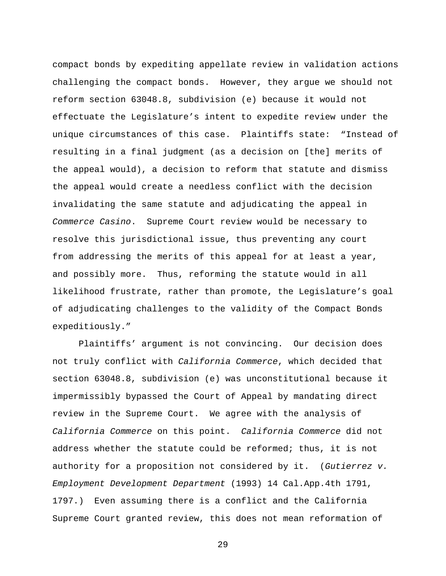compact bonds by expediting appellate review in validation actions challenging the compact bonds. However, they argue we should not reform section 63048.8, subdivision (e) because it would not effectuate the Legislature's intent to expedite review under the unique circumstances of this case. Plaintiffs state: "Instead of resulting in a final judgment (as a decision on [the] merits of the appeal would), a decision to reform that statute and dismiss the appeal would create a needless conflict with the decision invalidating the same statute and adjudicating the appeal in *Commerce Casino*. Supreme Court review would be necessary to resolve this jurisdictional issue, thus preventing any court from addressing the merits of this appeal for at least a year, and possibly more. Thus, reforming the statute would in all likelihood frustrate, rather than promote, the Legislature's goal of adjudicating challenges to the validity of the Compact Bonds expeditiously."

Plaintiffs' argument is not convincing. Our decision does not truly conflict with *California Commerce*, which decided that section 63048.8, subdivision (e) was unconstitutional because it impermissibly bypassed the Court of Appeal by mandating direct review in the Supreme Court. We agree with the analysis of *California Commerce* on this point. *California Commerce* did not address whether the statute could be reformed; thus, it is not authority for a proposition not considered by it. (*Gutierrez v. Employment Development Department* (1993) 14 Cal.App.4th 1791, 1797.) Even assuming there is a conflict and the California Supreme Court granted review, this does not mean reformation of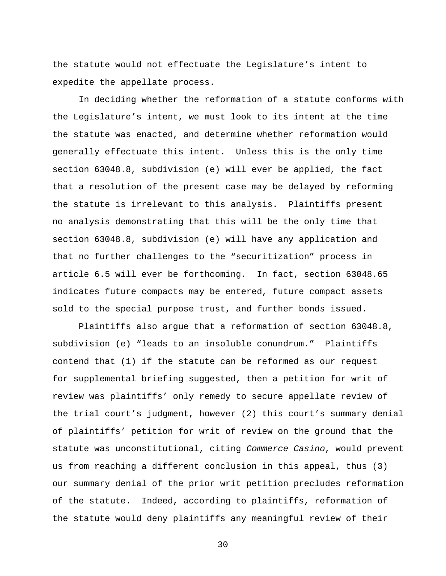the statute would not effectuate the Legislature's intent to expedite the appellate process.

In deciding whether the reformation of a statute conforms with the Legislature's intent, we must look to its intent at the time the statute was enacted, and determine whether reformation would generally effectuate this intent. Unless this is the only time section 63048.8, subdivision (e) will ever be applied, the fact that a resolution of the present case may be delayed by reforming the statute is irrelevant to this analysis. Plaintiffs present no analysis demonstrating that this will be the only time that section 63048.8, subdivision (e) will have any application and that no further challenges to the "securitization" process in article 6.5 will ever be forthcoming. In fact, section 63048.65 indicates future compacts may be entered, future compact assets sold to the special purpose trust, and further bonds issued.

Plaintiffs also argue that a reformation of section 63048.8, subdivision (e) "leads to an insoluble conundrum." Plaintiffs contend that (1) if the statute can be reformed as our request for supplemental briefing suggested, then a petition for writ of review was plaintiffs' only remedy to secure appellate review of the trial court's judgment, however (2) this court's summary denial of plaintiffs' petition for writ of review on the ground that the statute was unconstitutional, citing *Commerce Casino*, would prevent us from reaching a different conclusion in this appeal, thus (3) our summary denial of the prior writ petition precludes reformation of the statute. Indeed, according to plaintiffs, reformation of the statute would deny plaintiffs any meaningful review of their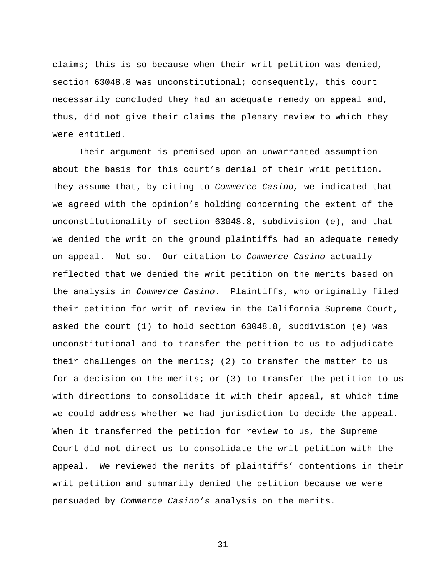claims; this is so because when their writ petition was denied, section 63048.8 was unconstitutional; consequently, this court necessarily concluded they had an adequate remedy on appeal and, thus, did not give their claims the plenary review to which they were entitled.

Their argument is premised upon an unwarranted assumption about the basis for this court's denial of their writ petition. They assume that, by citing to *Commerce Casino,* we indicated that we agreed with the opinion's holding concerning the extent of the unconstitutionality of section 63048.8, subdivision (e), and that we denied the writ on the ground plaintiffs had an adequate remedy on appeal. Not so. Our citation to *Commerce Casino* actually reflected that we denied the writ petition on the merits based on the analysis in *Commerce Casino*. Plaintiffs, who originally filed their petition for writ of review in the California Supreme Court, asked the court (1) to hold section 63048.8, subdivision (e) was unconstitutional and to transfer the petition to us to adjudicate their challenges on the merits; (2) to transfer the matter to us for a decision on the merits; or (3) to transfer the petition to us with directions to consolidate it with their appeal, at which time we could address whether we had jurisdiction to decide the appeal. When it transferred the petition for review to us, the Supreme Court did not direct us to consolidate the writ petition with the appeal. We reviewed the merits of plaintiffs' contentions in their writ petition and summarily denied the petition because we were persuaded by *Commerce Casino's* analysis on the merits.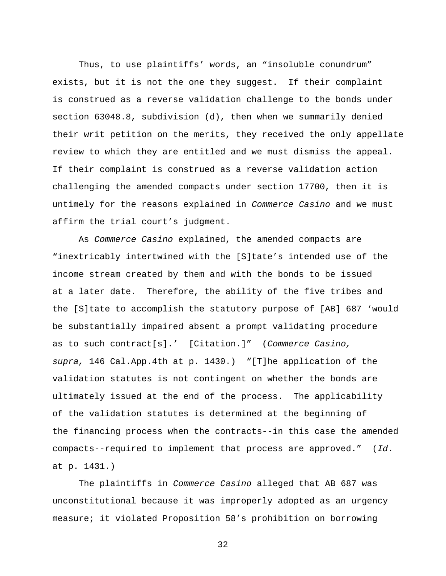Thus, to use plaintiffs' words, an "insoluble conundrum" exists, but it is not the one they suggest. If their complaint is construed as a reverse validation challenge to the bonds under section 63048.8, subdivision (d), then when we summarily denied their writ petition on the merits, they received the only appellate review to which they are entitled and we must dismiss the appeal. If their complaint is construed as a reverse validation action challenging the amended compacts under section 17700, then it is untimely for the reasons explained in *Commerce Casino* and we must affirm the trial court's judgment.

 As *Commerce Casino* explained, the amended compacts are "inextricably intertwined with the [S]tate's intended use of the income stream created by them and with the bonds to be issued at a later date. Therefore, the ability of the five tribes and the [S]tate to accomplish the statutory purpose of [AB] 687 'would be substantially impaired absent a prompt validating procedure as to such contract[s].' [Citation.]" (*Commerce Casino, supra,* 146 Cal.App.4th at p. 1430.) "[T]he application of the validation statutes is not contingent on whether the bonds are ultimately issued at the end of the process. The applicability of the validation statutes is determined at the beginning of the financing process when the contracts--in this case the amended compacts--required to implement that process are approved." (*Id*. at p. 1431.)

 The plaintiffs in *Commerce Casino* alleged that AB 687 was unconstitutional because it was improperly adopted as an urgency measure; it violated Proposition 58's prohibition on borrowing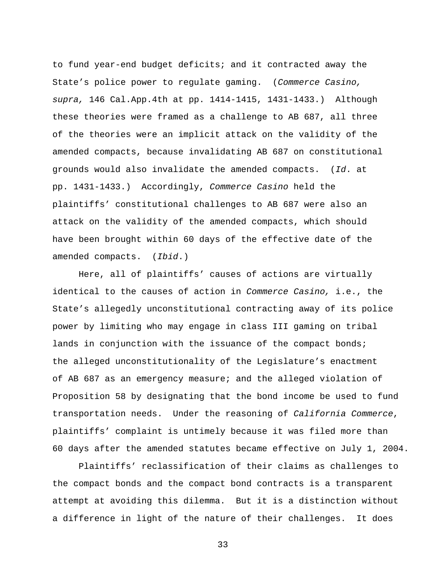to fund year-end budget deficits; and it contracted away the State's police power to regulate gaming. (*Commerce Casino, supra,* 146 Cal.App.4th at pp. 1414-1415, 1431-1433.) Although these theories were framed as a challenge to AB 687, all three of the theories were an implicit attack on the validity of the amended compacts, because invalidating AB 687 on constitutional grounds would also invalidate the amended compacts. (*Id*. at pp. 1431-1433.) Accordingly, *Commerce Casino* held the plaintiffs' constitutional challenges to AB 687 were also an attack on the validity of the amended compacts, which should have been brought within 60 days of the effective date of the amended compacts. (*Ibid*.)

Here, all of plaintiffs' causes of actions are virtually identical to the causes of action in *Commerce Casino,* i.e., the State's allegedly unconstitutional contracting away of its police power by limiting who may engage in class III gaming on tribal lands in conjunction with the issuance of the compact bonds; the alleged unconstitutionality of the Legislature's enactment of AB 687 as an emergency measure; and the alleged violation of Proposition 58 by designating that the bond income be used to fund transportation needs. Under the reasoning of *California Commerce*, plaintiffs' complaint is untimely because it was filed more than 60 days after the amended statutes became effective on July 1, 2004.

Plaintiffs' reclassification of their claims as challenges to the compact bonds and the compact bond contracts is a transparent attempt at avoiding this dilemma. But it is a distinction without a difference in light of the nature of their challenges. It does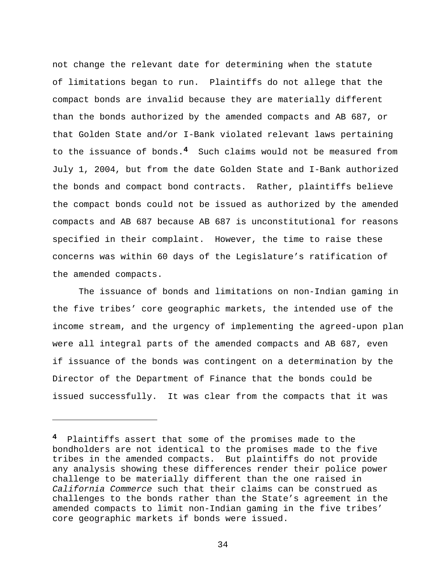not change the relevant date for determining when the statute of limitations began to run. Plaintiffs do not allege that the compact bonds are invalid because they are materially different than the bonds authorized by the amended compacts and AB 687, or that Golden State and/or I-Bank violated relevant laws pertaining to the issuance of bonds.**4** Such claims would not be measured from July 1, 2004, but from the date Golden State and I-Bank authorized the bonds and compact bond contracts. Rather, plaintiffs believe the compact bonds could not be issued as authorized by the amended compacts and AB 687 because AB 687 is unconstitutional for reasons specified in their complaint. However, the time to raise these concerns was within 60 days of the Legislature's ratification of the amended compacts.

The issuance of bonds and limitations on non-Indian gaming in the five tribes' core geographic markets, the intended use of the income stream, and the urgency of implementing the agreed-upon plan were all integral parts of the amended compacts and AB 687, even if issuance of the bonds was contingent on a determination by the Director of the Department of Finance that the bonds could be issued successfully. It was clear from the compacts that it was

i<br>Li

**<sup>4</sup>** Plaintiffs assert that some of the promises made to the bondholders are not identical to the promises made to the five tribes in the amended compacts. But plaintiffs do not provide any analysis showing these differences render their police power challenge to be materially different than the one raised in *California Commerce* such that their claims can be construed as challenges to the bonds rather than the State's agreement in the amended compacts to limit non-Indian gaming in the five tribes' core geographic markets if bonds were issued.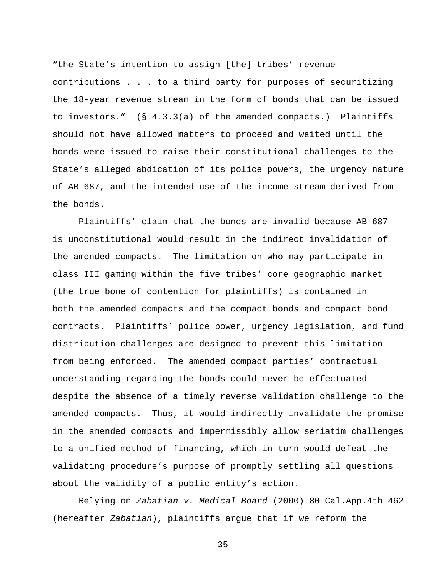"the State's intention to assign [the] tribes' revenue contributions . . . to a third party for purposes of securitizing the 18-year revenue stream in the form of bonds that can be issued to investors." (§ 4.3.3(a) of the amended compacts.) Plaintiffs should not have allowed matters to proceed and waited until the bonds were issued to raise their constitutional challenges to the State's alleged abdication of its police powers, the urgency nature of AB 687, and the intended use of the income stream derived from the bonds.

Plaintiffs' claim that the bonds are invalid because AB 687 is unconstitutional would result in the indirect invalidation of the amended compacts. The limitation on who may participate in class III gaming within the five tribes' core geographic market (the true bone of contention for plaintiffs) is contained in both the amended compacts and the compact bonds and compact bond contracts. Plaintiffs' police power, urgency legislation, and fund distribution challenges are designed to prevent this limitation from being enforced. The amended compact parties' contractual understanding regarding the bonds could never be effectuated despite the absence of a timely reverse validation challenge to the amended compacts. Thus, it would indirectly invalidate the promise in the amended compacts and impermissibly allow seriatim challenges to a unified method of financing, which in turn would defeat the validating procedure's purpose of promptly settling all questions about the validity of a public entity's action.

Relying on *Zabatian v. Medical Board* (2000) 80 Cal.App.4th 462 (hereafter *Zabatian*), plaintiffs argue that if we reform the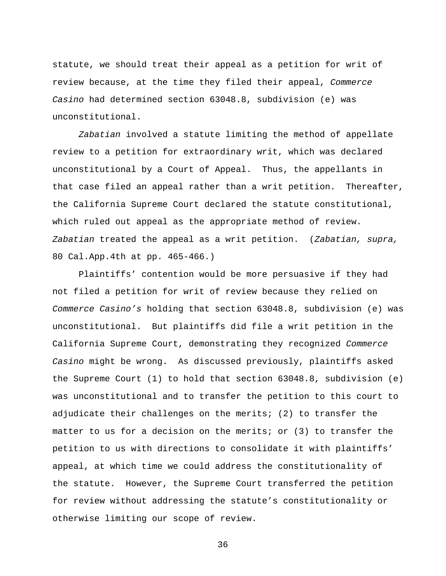statute, we should treat their appeal as a petition for writ of review because, at the time they filed their appeal, *Commerce Casino* had determined section 63048.8, subdivision (e) was unconstitutional.

*Zabatian* involved a statute limiting the method of appellate review to a petition for extraordinary writ, which was declared unconstitutional by a Court of Appeal. Thus, the appellants in that case filed an appeal rather than a writ petition. Thereafter, the California Supreme Court declared the statute constitutional, which ruled out appeal as the appropriate method of review. *Zabatian* treated the appeal as a writ petition. (*Zabatian, supra,*  80 Cal.App.4th at pp. 465-466.)

Plaintiffs' contention would be more persuasive if they had not filed a petition for writ of review because they relied on *Commerce Casino's* holding that section 63048.8, subdivision (e) was unconstitutional. But plaintiffs did file a writ petition in the California Supreme Court, demonstrating they recognized *Commerce Casino* might be wrong. As discussed previously, plaintiffs asked the Supreme Court (1) to hold that section 63048.8, subdivision (e) was unconstitutional and to transfer the petition to this court to adjudicate their challenges on the merits; (2) to transfer the matter to us for a decision on the merits; or (3) to transfer the petition to us with directions to consolidate it with plaintiffs' appeal, at which time we could address the constitutionality of the statute. However, the Supreme Court transferred the petition for review without addressing the statute's constitutionality or otherwise limiting our scope of review.